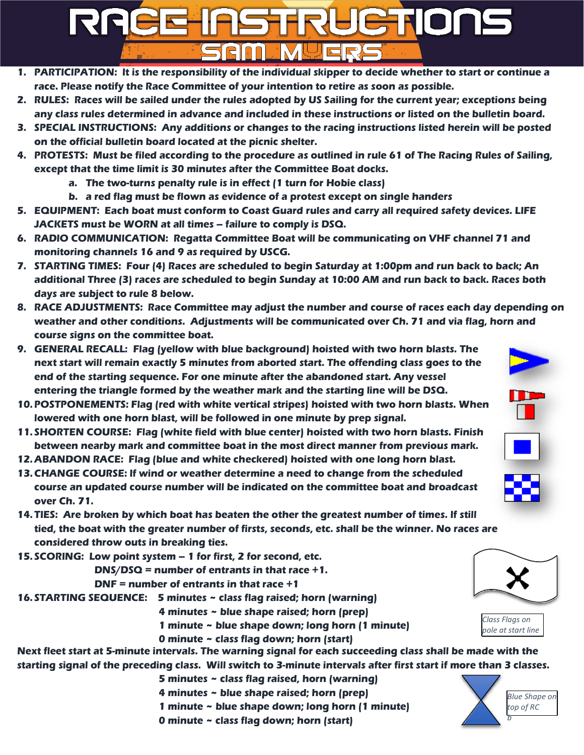## JETIONS REEE

- 1. PARTICIPATION: It is the responsibility of the individual skipper to decide whether to start or continue a **race. Please notify the Race Committee of your intention to retire as soon as possible.**
- 2. RULES: Races will be sailed under the rules adopted by US Sailing for the current year; exceptions being **any class rules determined in advance and included in these instructions or listed on the bulletin board.**
- **3. SPECIAL INSTRUCTIONS: Any additions or changes to the racing instructions listed herein will be posted on the official bulletin board located at the picnic shelter.**
- 4. PROTESTS: Must be filed according to the procedure as outlined in rule 61 of The Racing Rules of Sailing, **except that the time limit is 30 minutes after the Committee Boat docks.**
	- **a. The two-turns penalty rule is in effect (1 turn for Hobie class)**
	- **b. a red flag must be flown as evidence of a protest except on single handers**
- **5. EQUIPMENT: Each boat must conform to Coast Guard rules and carry all required safety devices. LIFE JACKETS must be WORN at all times – failure to comply is DSQ.**
- **6. RADIO COMMUNICATION: Regatta Committee Boat will be communicating on VHF channel 71 and monitoring channels 16 and 9 as required by USCG.**
- 7. STARTING TIMES: Four (4) Races are scheduled to begin Saturday at 1:00pm and run back to back; An additional Three (3) races are scheduled to begin Sunday at 10:00 AM and run back to back. Races both **days are subject to rule 8 below.**
- **8. RACE ADJUSTMENTS: Race Committee may adjust the number and course of races each day depending on weather and other conditions. Adjustments will be communicated over Ch. 71 and via flag, horn and course signs on the committee boat.**
- **9. GENERAL RECALL: Flag (yellow with blue background) hoisted with two horn blasts. The next start will remain exactly 5 minutes from aborted start. The offending class goes to the end of the starting sequence. For one minute after the abandoned start. Any vessel entering the triangle formed by the weather mark and the starting line will be DSQ.**
- **10. POSTPONEMENTS: Flag (red with white vertical stripes) hoisted with two horn blasts. When lowered with one horn blast, will be followed in one minute by prep signal.**
- **11. SHORTEN COURSE: Flag (white field with blue center) hoisted with two horn blasts. Finish between nearby mark and committee boat in the most direct manner from previous mark.**
- **12. ABANDON RACE: Flag (blue and white checkered) hoisted with one long horn blast.**
- **13. CHANGE COURSE: If wind or weather determine a need to change from the scheduled course an updated course number will be indicated on the committee boat and broadcast over Ch. 71.**
- **14. TIES: Are broken by which boat has beaten the other the greatest number of times. If still tied, the boat with the greater number of firsts, seconds, etc. shall be the winner. No races are considered throw outs in breaking ties.**
- **15. SCORING: Low point system – 1 for first, 2 for second, etc.**

**DNS/DSQ = number of entrants in that race +1.**

**DNF = number of entrants in that race +1**

- **16. STARTING SEQUENCE: 5 minutes ~ class flag raised; horn (warning)**
	- **4 minutes ~ blue shape raised; horn (prep)**
	- **1 minute ~ blue shape down; long horn (1 minute)**
	- **0 minute ~ class flag down; horn (start)**

Next fleet start at 5-minute intervals. The warning signal for each succeeding class shall be made with the starting signal of the preceding class. Will switch to 3-minute intervals after first start if more than 3 classes.

- **5 minutes ~ class flag raised, horn (warning)**
- **4 minutes ~ blue shape raised; horn (prep)**
- **1 minute ~ blue shape down; long horn (1 minute)**
- **0 minute ~ class flag down; horn (start)**





*Class Flags on pole at start line*